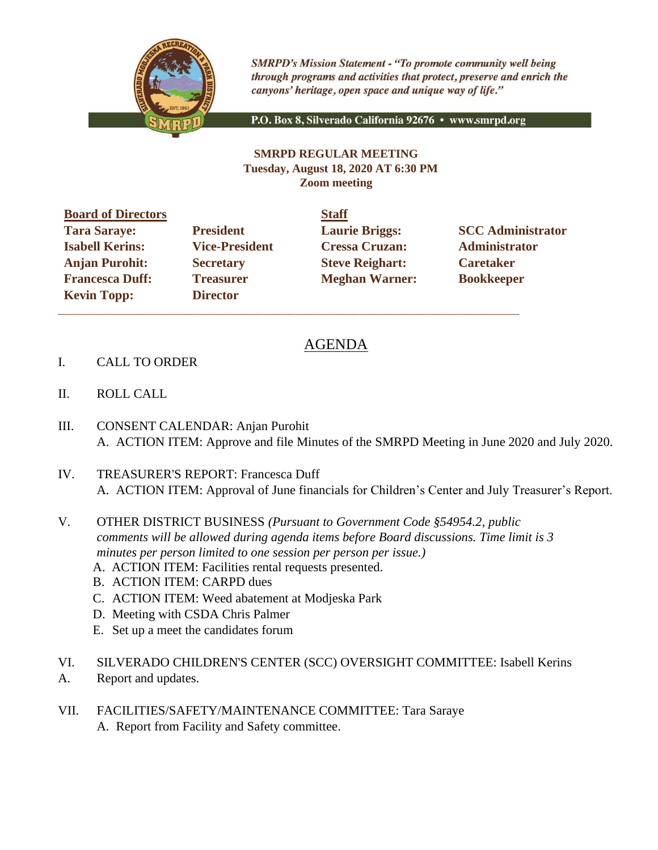

**SMRPD's Mission Statement - "To promote community well being** through programs and activities that protect, preserve and enrich the canyons' heritage, open space and unique way of life."

P.O. Box 8, Silverado California 92676 · www.smrpd.org

## **SMRPD REGULAR MEETING Tuesday, August 18, 2020 AT 6:30 PM Zoom meeting**

**Board of Directors Staff Tara Saraye: President Laurie Briggs: SCC Administrator Isabell Kerins: Vice-President Cressa Cruzan: Administrator Anjan Purohit: Secretary Steve Reighart: Caretaker Francesca Duff:** Treasurer **Meghan Warner:** Bookkeeper **Kevin Topp: Director** 

 $\_$  ,  $\_$  ,  $\_$  ,  $\_$  ,  $\_$  ,  $\_$  ,  $\_$  ,  $\_$  ,  $\_$  ,  $\_$  ,  $\_$  ,  $\_$  ,  $\_$  ,  $\_$  ,  $\_$  ,  $\_$  ,  $\_$  ,  $\_$  ,  $\_$  ,  $\_$  ,  $\_$  ,  $\_$  ,  $\_$  ,  $\_$  ,  $\_$  ,  $\_$  ,  $\_$  ,  $\_$  ,  $\_$  ,  $\_$  ,  $\_$  ,  $\_$  ,  $\_$  ,  $\_$  ,  $\_$  ,  $\_$  ,  $\_$  ,

## AGENDA

- I. CALL TO ORDER
- II. ROLL CALL
- III. CONSENT CALENDAR: Anjan Purohit A. ACTION ITEM: Approve and file Minutes of the SMRPD Meeting in June 2020 and July 2020.
- IV. TREASURER'S REPORT: Francesca Duff A. ACTION ITEM: Approval of June financials for Children's Center and July Treasurer's Report.
- V. OTHER DISTRICT BUSINESS *(Pursuant to Government Code §54954.2, public comments will be allowed during agenda items before Board discussions. Time limit is 3 minutes per person limited to one session per person per issue.)*
	- A. ACTION ITEM: Facilities rental requests presented.
	- B. ACTION ITEM: CARPD dues
	- C. ACTION ITEM: Weed abatement at Modjeska Park
	- D. Meeting with CSDA Chris Palmer
	- E. Set up a meet the candidates forum
- VI. SILVERADO CHILDREN'S CENTER (SCC) OVERSIGHT COMMITTEE: Isabell Kerins A. Report and updates.
- VII. FACILITIES/SAFETY/MAINTENANCE COMMITTEE: Tara Saraye A. Report from Facility and Safety committee.